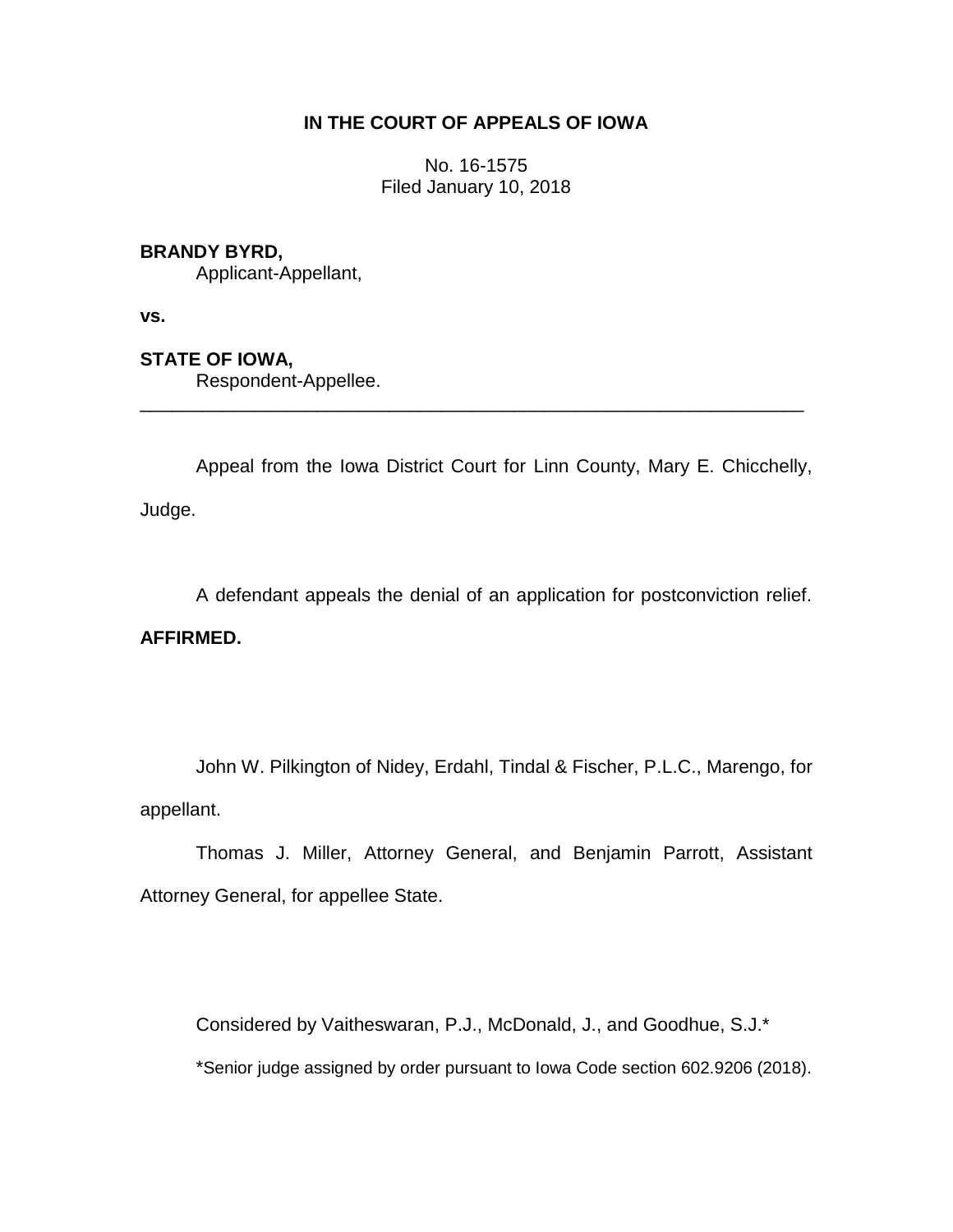# **IN THE COURT OF APPEALS OF IOWA**

No. 16-1575 Filed January 10, 2018

## **BRANDY BYRD,**

Applicant-Appellant,

**vs.**

## **STATE OF IOWA,**

Respondent-Appellee.

Appeal from the Iowa District Court for Linn County, Mary E. Chicchelly, Judge.

\_\_\_\_\_\_\_\_\_\_\_\_\_\_\_\_\_\_\_\_\_\_\_\_\_\_\_\_\_\_\_\_\_\_\_\_\_\_\_\_\_\_\_\_\_\_\_\_\_\_\_\_\_\_\_\_\_\_\_\_\_\_\_\_

A defendant appeals the denial of an application for postconviction relief.

## **AFFIRMED.**

John W. Pilkington of Nidey, Erdahl, Tindal & Fischer, P.L.C., Marengo, for appellant.

Thomas J. Miller, Attorney General, and Benjamin Parrott, Assistant Attorney General, for appellee State.

Considered by Vaitheswaran, P.J., McDonald, J., and Goodhue, S.J.\*

\*Senior judge assigned by order pursuant to Iowa Code section 602.9206 (2018).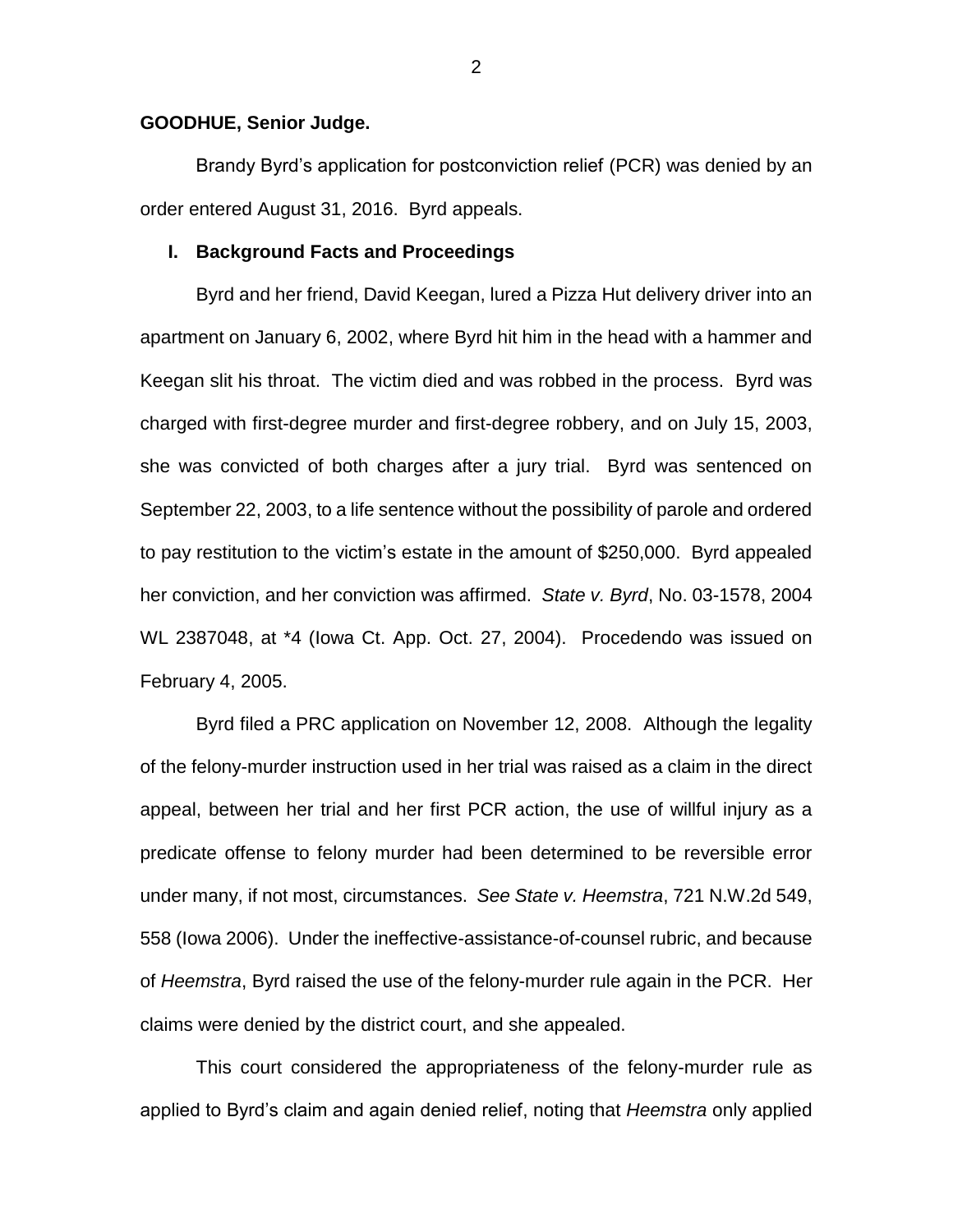### **GOODHUE, Senior Judge.**

Brandy Byrd's application for postconviction relief (PCR) was denied by an order entered August 31, 2016. Byrd appeals.

### **I. Background Facts and Proceedings**

Byrd and her friend, David Keegan, lured a Pizza Hut delivery driver into an apartment on January 6, 2002, where Byrd hit him in the head with a hammer and Keegan slit his throat. The victim died and was robbed in the process. Byrd was charged with first-degree murder and first-degree robbery, and on July 15, 2003, she was convicted of both charges after a jury trial. Byrd was sentenced on September 22, 2003, to a life sentence without the possibility of parole and ordered to pay restitution to the victim's estate in the amount of \$250,000. Byrd appealed her conviction, and her conviction was affirmed. *State v. Byrd*, No. 03-1578, 2004 WL 2387048, at \*4 (Iowa Ct. App. Oct. 27, 2004). Procedendo was issued on February 4, 2005.

Byrd filed a PRC application on November 12, 2008. Although the legality of the felony-murder instruction used in her trial was raised as a claim in the direct appeal, between her trial and her first PCR action, the use of willful injury as a predicate offense to felony murder had been determined to be reversible error under many, if not most, circumstances. *See State v. Heemstra*, 721 N.W.2d 549, 558 (Iowa 2006). Under the ineffective-assistance-of-counsel rubric, and because of *Heemstra*, Byrd raised the use of the felony-murder rule again in the PCR. Her claims were denied by the district court, and she appealed.

This court considered the appropriateness of the felony-murder rule as applied to Byrd's claim and again denied relief, noting that *Heemstra* only applied

2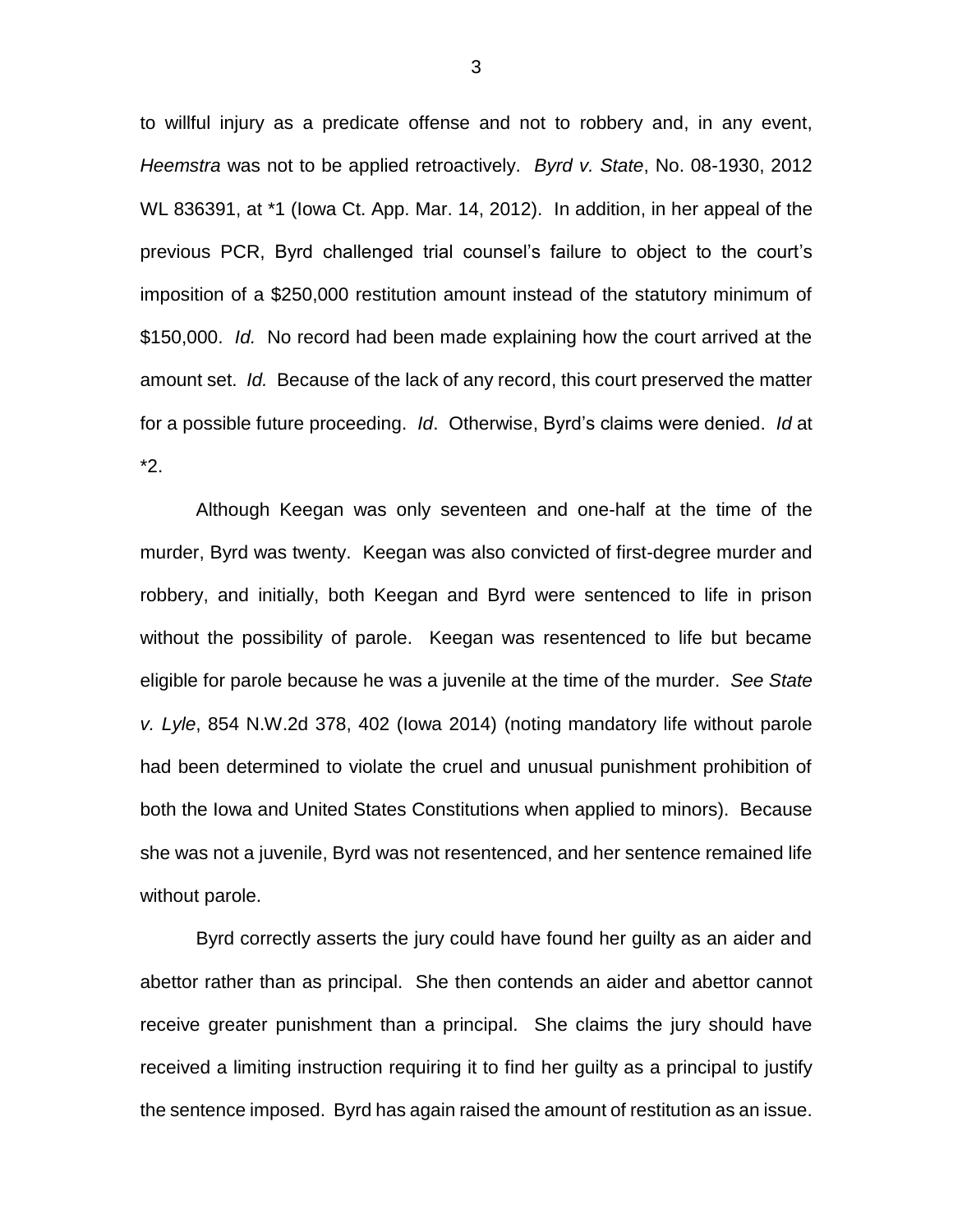to willful injury as a predicate offense and not to robbery and, in any event, *Heemstra* was not to be applied retroactively. *Byrd v. State*, No. 08-1930, 2012 WL 836391, at \*1 (Iowa Ct. App. Mar. 14, 2012). In addition, in her appeal of the previous PCR, Byrd challenged trial counsel's failure to object to the court's imposition of a \$250,000 restitution amount instead of the statutory minimum of \$150,000. *Id.* No record had been made explaining how the court arrived at the amount set. *Id.* Because of the lack of any record, this court preserved the matter for a possible future proceeding. *Id*. Otherwise, Byrd's claims were denied. *Id* at \*2.

Although Keegan was only seventeen and one-half at the time of the murder, Byrd was twenty. Keegan was also convicted of first-degree murder and robbery, and initially, both Keegan and Byrd were sentenced to life in prison without the possibility of parole. Keegan was resentenced to life but became eligible for parole because he was a juvenile at the time of the murder. *See State v. Lyle*, 854 N.W.2d 378, 402 (Iowa 2014) (noting mandatory life without parole had been determined to violate the cruel and unusual punishment prohibition of both the Iowa and United States Constitutions when applied to minors). Because she was not a juvenile, Byrd was not resentenced, and her sentence remained life without parole.

Byrd correctly asserts the jury could have found her guilty as an aider and abettor rather than as principal. She then contends an aider and abettor cannot receive greater punishment than a principal. She claims the jury should have received a limiting instruction requiring it to find her guilty as a principal to justify the sentence imposed. Byrd has again raised the amount of restitution as an issue.

3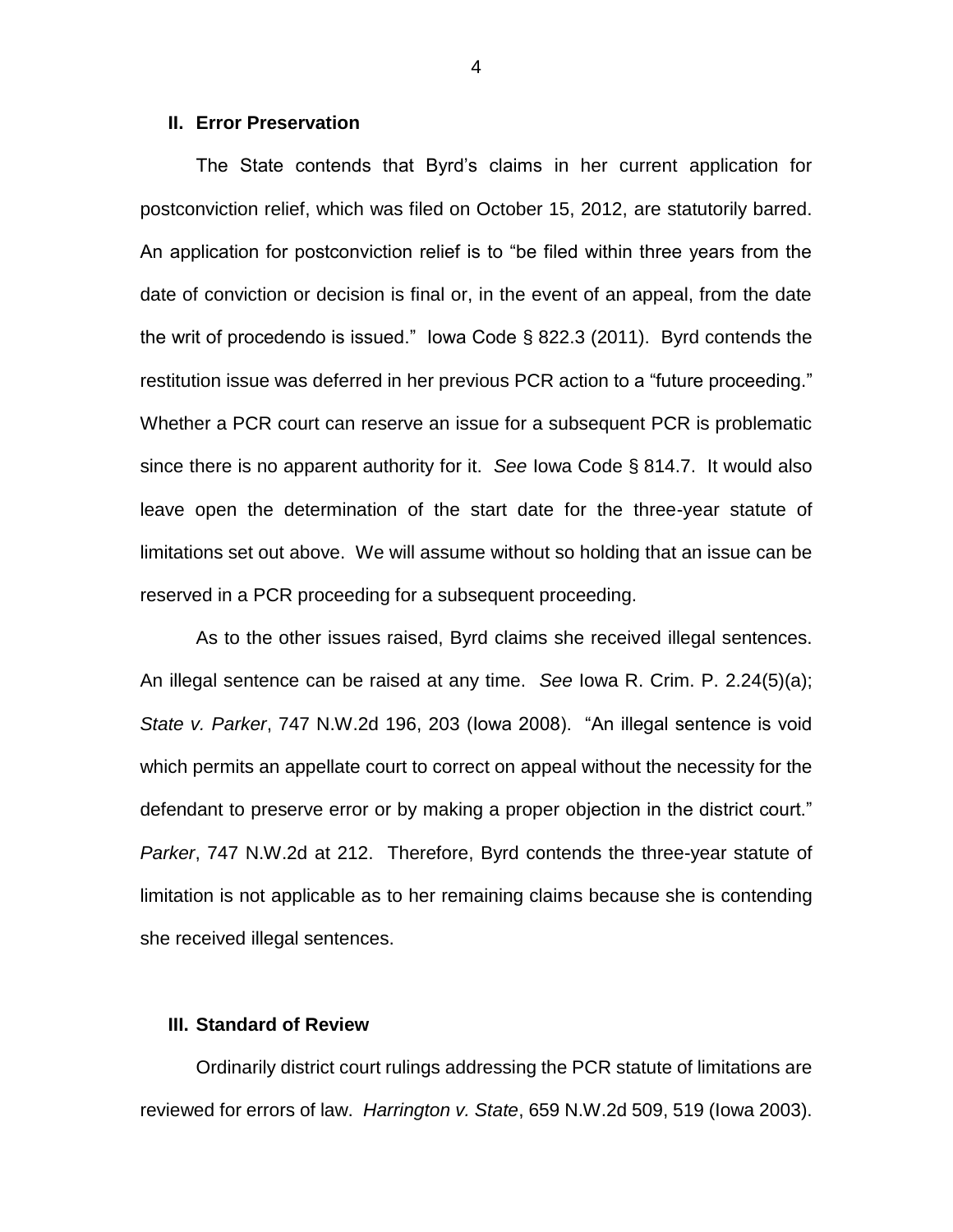#### **II. Error Preservation**

The State contends that Byrd's claims in her current application for postconviction relief, which was filed on October 15, 2012, are statutorily barred. An application for postconviction relief is to "be filed within three years from the date of conviction or decision is final or, in the event of an appeal, from the date the writ of procedendo is issued." Iowa Code § 822.3 (2011). Byrd contends the restitution issue was deferred in her previous PCR action to a "future proceeding." Whether a PCR court can reserve an issue for a subsequent PCR is problematic since there is no apparent authority for it. *See* Iowa Code § 814.7. It would also leave open the determination of the start date for the three-year statute of limitations set out above. We will assume without so holding that an issue can be reserved in a PCR proceeding for a subsequent proceeding.

As to the other issues raised, Byrd claims she received illegal sentences. An illegal sentence can be raised at any time. *See* Iowa R. Crim. P. 2.24(5)(a); *State v. Parker*, 747 N.W.2d 196, 203 (Iowa 2008). "An illegal sentence is void which permits an appellate court to correct on appeal without the necessity for the defendant to preserve error or by making a proper objection in the district court." *Parker*, 747 N.W.2d at 212. Therefore, Byrd contends the three-year statute of limitation is not applicable as to her remaining claims because she is contending she received illegal sentences.

## **III. Standard of Review**

Ordinarily district court rulings addressing the PCR statute of limitations are reviewed for errors of law. *Harrington v. State*, 659 N.W.2d 509, 519 (Iowa 2003).

4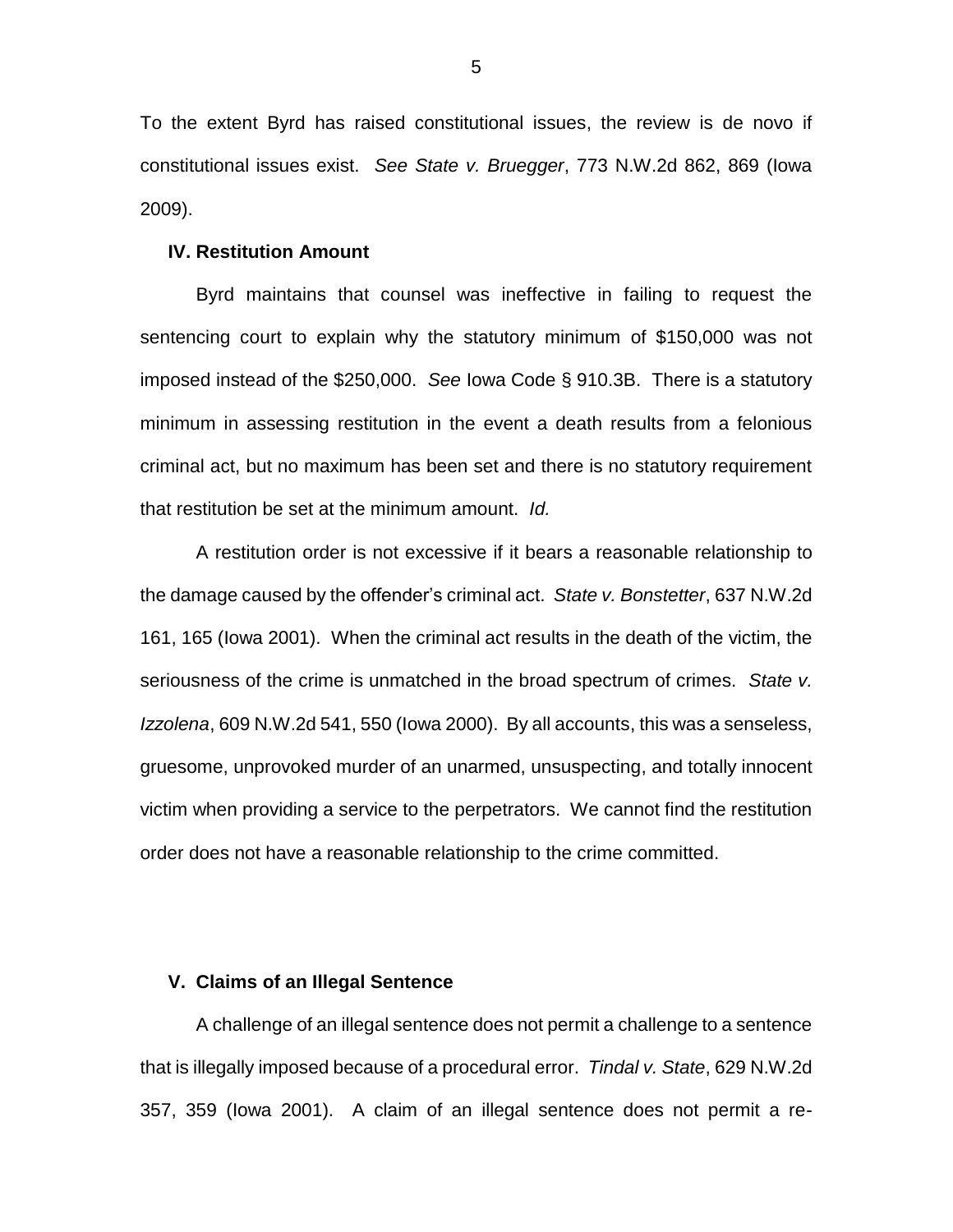To the extent Byrd has raised constitutional issues, the review is de novo if constitutional issues exist. *See State v. Bruegger*, 773 N.W.2d 862, 869 (Iowa 2009).

#### **IV. Restitution Amount**

Byrd maintains that counsel was ineffective in failing to request the sentencing court to explain why the statutory minimum of \$150,000 was not imposed instead of the \$250,000. *See* Iowa Code § 910.3B. There is a statutory minimum in assessing restitution in the event a death results from a felonious criminal act, but no maximum has been set and there is no statutory requirement that restitution be set at the minimum amount. *Id.*

A restitution order is not excessive if it bears a reasonable relationship to the damage caused by the offender's criminal act. *State v. Bonstetter*, 637 N.W.2d 161, 165 (Iowa 2001). When the criminal act results in the death of the victim, the seriousness of the crime is unmatched in the broad spectrum of crimes. *State v. Izzolena*, 609 N.W.2d 541, 550 (Iowa 2000). By all accounts, this was a senseless, gruesome, unprovoked murder of an unarmed, unsuspecting, and totally innocent victim when providing a service to the perpetrators. We cannot find the restitution order does not have a reasonable relationship to the crime committed.

### **V. Claims of an Illegal Sentence**

A challenge of an illegal sentence does not permit a challenge to a sentence that is illegally imposed because of a procedural error. *Tindal v. State*, 629 N.W.2d 357, 359 (Iowa 2001). A claim of an illegal sentence does not permit a re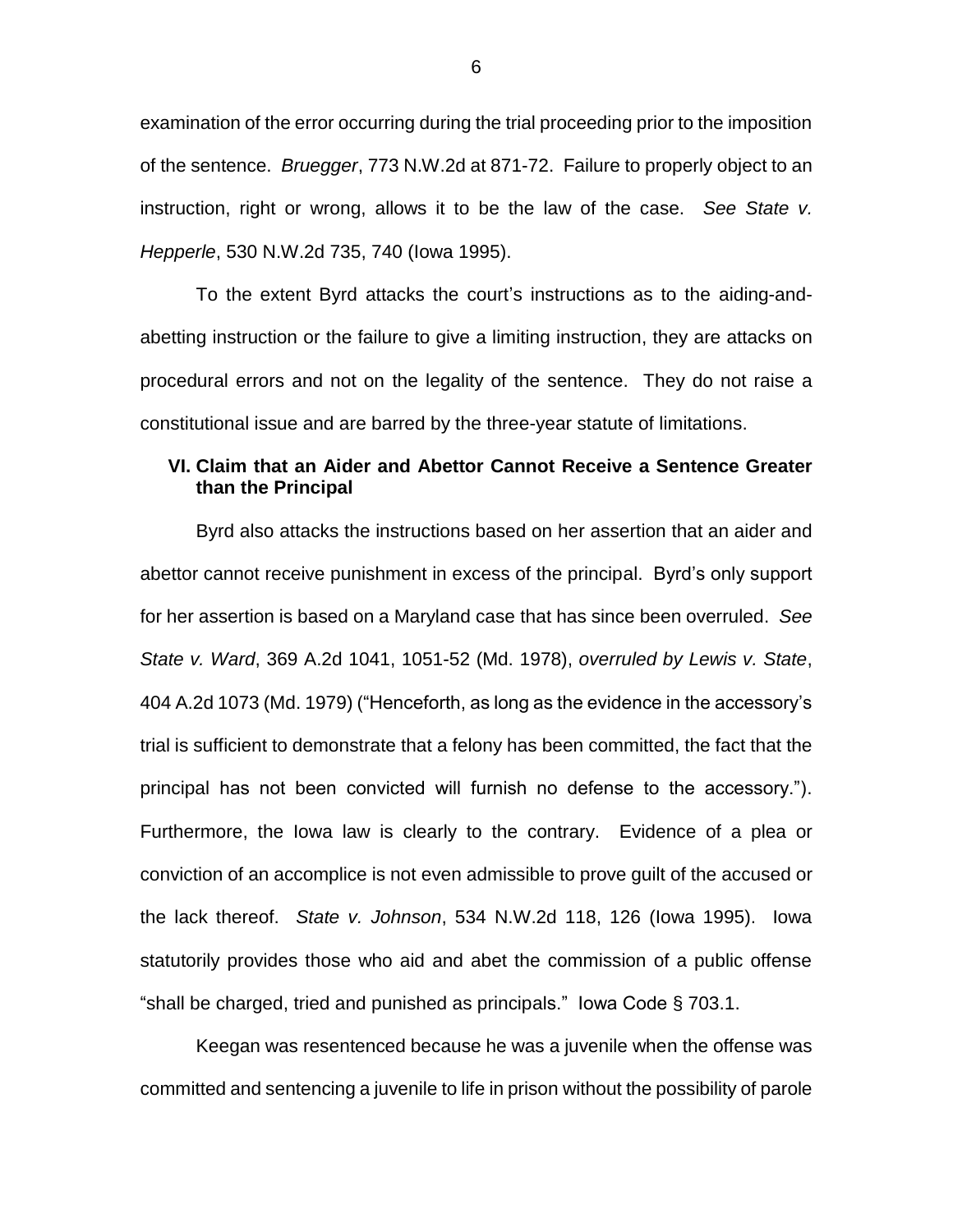examination of the error occurring during the trial proceeding prior to the imposition of the sentence. *Bruegger*, 773 N.W.2d at 871-72. Failure to properly object to an instruction, right or wrong, allows it to be the law of the case. *See State v. Hepperle*, 530 N.W.2d 735, 740 (Iowa 1995).

To the extent Byrd attacks the court's instructions as to the aiding-andabetting instruction or the failure to give a limiting instruction, they are attacks on procedural errors and not on the legality of the sentence. They do not raise a constitutional issue and are barred by the three-year statute of limitations.

# **VI. Claim that an Aider and Abettor Cannot Receive a Sentence Greater than the Principal**

Byrd also attacks the instructions based on her assertion that an aider and abettor cannot receive punishment in excess of the principal. Byrd's only support for her assertion is based on a Maryland case that has since been overruled. *See State v. Ward*, 369 A.2d 1041, 1051-52 (Md. 1978), *overruled by Lewis v. State*, 404 A.2d 1073 (Md. 1979) ("Henceforth, as long as the evidence in the accessory's trial is sufficient to demonstrate that a felony has been committed, the fact that the principal has not been convicted will furnish no defense to the accessory."). Furthermore, the Iowa law is clearly to the contrary. Evidence of a plea or conviction of an accomplice is not even admissible to prove guilt of the accused or the lack thereof. *State v. Johnson*, 534 N.W.2d 118, 126 (Iowa 1995). Iowa statutorily provides those who aid and abet the commission of a public offense "shall be charged, tried and punished as principals." Iowa Code § 703.1.

Keegan was resentenced because he was a juvenile when the offense was committed and sentencing a juvenile to life in prison without the possibility of parole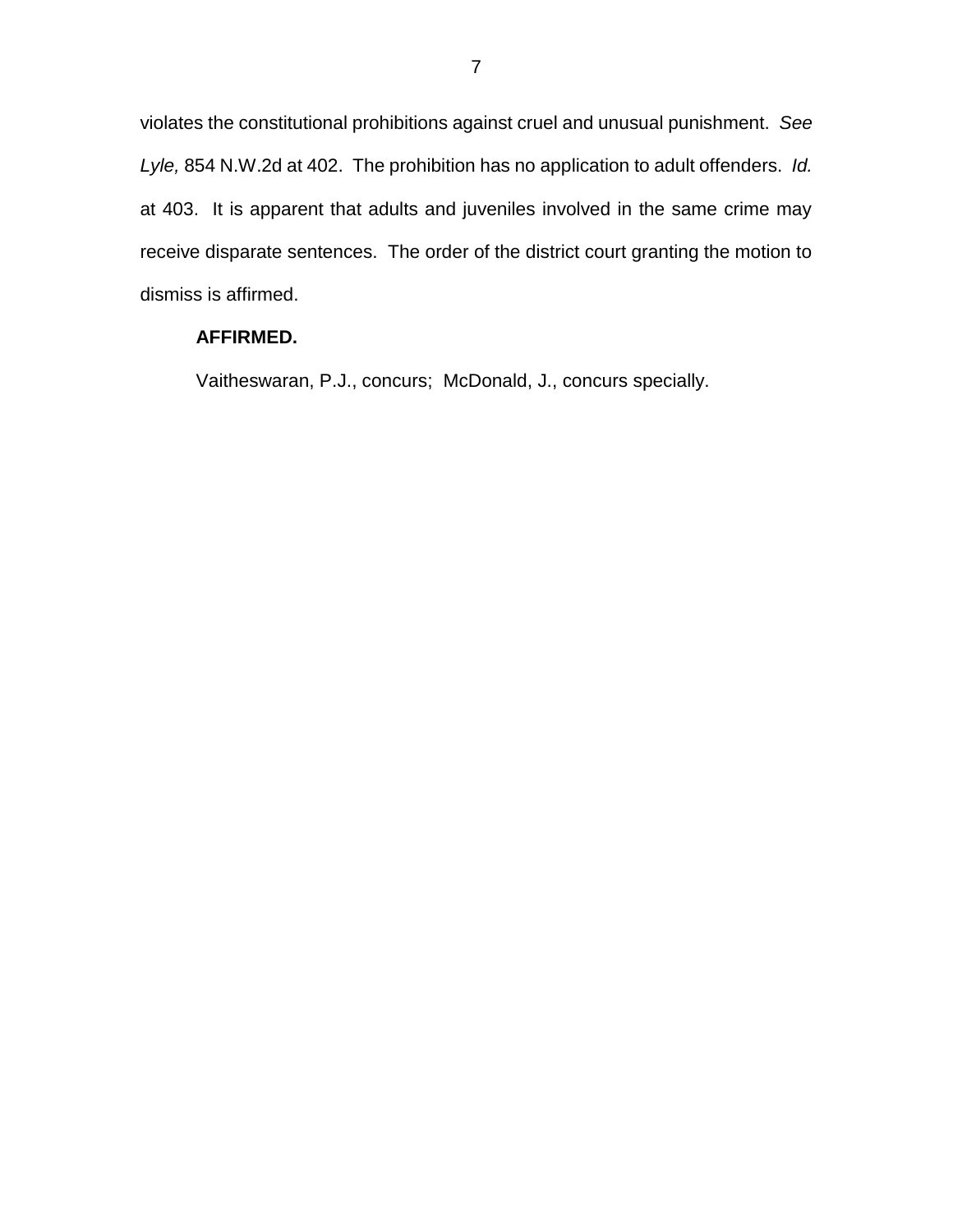violates the constitutional prohibitions against cruel and unusual punishment. *See Lyle,* 854 N.W.2d at 402. The prohibition has no application to adult offenders. *Id.* at 403. It is apparent that adults and juveniles involved in the same crime may receive disparate sentences. The order of the district court granting the motion to dismiss is affirmed.

# **AFFIRMED.**

Vaitheswaran, P.J., concurs; McDonald, J., concurs specially.